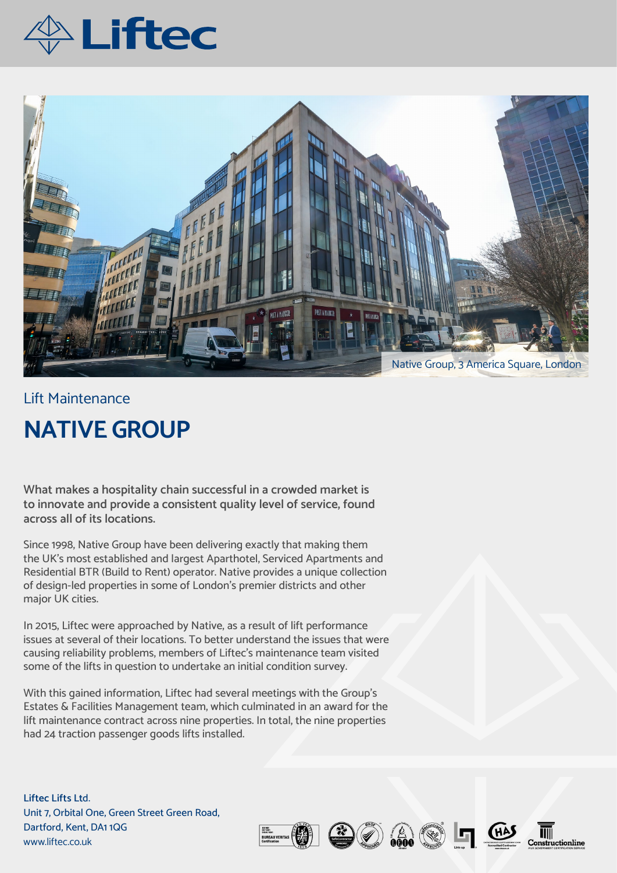



## Lift Maintenance **NATIVE GROUP**

**What makes a hospitality chain successful in a crowded market is to innovate and provide a consistent quality level of service, found across all of its locations.** 

Since 1998, Native Group have been delivering exactly that making them the UK's most established and largest Aparthotel, Serviced Apartments and Residential BTR (Build to Rent) operator. Native provides a unique collection of design-led properties in some of London's premier districts and other major UK cities.

In 2015, Liftec were approached by Native, as a result of lift performance issues at several of their locations. To better understand the issues that were causing reliability problems, members of Liftec's maintenance team visited some of the lifts in question to undertake an initial condition survey.

With this gained information, Liftec had several meetings with the Group's Estates & Facilities Management team, which culminated in an award for the lift maintenance contract across nine properties. In total, the nine properties had 24 traction passenger goods lifts installed.

**Liftec Lifts Lt**d. Unit 7, Orbital One, Green Street Green Road, Dartford, Kent, DA1 1QG www.liftec.co.uk